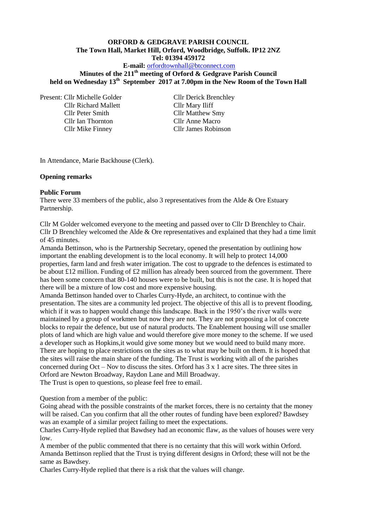# **ORFORD & GEDGRAVE PARISH COUNCIL The Town Hall, Market Hill, Orford, Woodbridge, Suffolk. IP12 2NZ Tel: 01394 459172**

**E-mail:** [orfordtownhall@btconnect.com](mailto:orfordtownhall@btconnect.com)

**Minutes of the 211th meeting of Orford & Gedgrave Parish Council held on Wednesday 13th September 2017 at 7.00pm in the New Room of the Town Hall**

Present: Cllr Michelle Golder Cllr Derick Brenchley Cllr Richard Mallett Cllr Mary Iliff Cllr Peter Smith Cllr Matthew Smy Cllr Ian Thornton Cllr Anne Macro Cllr Mike Finney Cllr James Robinson

In Attendance, Marie Backhouse (Clerk).

#### **Opening remarks**

#### **Public Forum**

There were 33 members of the public, also 3 representatives from the Alde & Ore Estuary Partnership.

Cllr M Golder welcomed everyone to the meeting and passed over to Cllr D Brenchley to Chair. Cllr D Brenchley welcomed the Alde & Ore representatives and explained that they had a time limit of 45 minutes.

Amanda Bettinson, who is the Partnership Secretary, opened the presentation by outlining how important the enabling development is to the local economy. It will help to protect 14,000 properties, farm land and fresh water irrigation. The cost to upgrade to the defences is estimated to be about £12 million. Funding of £2 million has already been sourced from the government. There has been some concern that 80-140 houses were to be built, but this is not the case. It is hoped that there will be a mixture of low cost and more expensive housing.

Amanda Bettinson handed over to Charles Curry-Hyde, an architect, to continue with the presentation. The sites are a community led project. The objective of this all is to prevent flooding, which if it was to happen would change this landscape. Back in the 1950's the river walls were maintained by a group of workmen but now they are not. They are not proposing a lot of concrete blocks to repair the defence, but use of natural products. The Enablement housing will use smaller plots of land which are high value and would therefore give more money to the scheme. If we used a developer such as Hopkins,it would give some money but we would need to build many more. There are hoping to place restrictions on the sites as to what may be built on them. It is hoped that the sites will raise the main share of the funding. The Trust is working with all of the parishes concerned during Oct – Nov to discuss the sites. Orford has 3 x 1 acre sites. The three sites in Orford are Newton Broadway, Raydon Lane and Mill Broadway. The Trust is open to questions, so please feel free to email.

Question from a member of the public:

Going ahead with the possible constraints of the market forces, there is no certainty that the money will be raised. Can you confirm that all the other routes of funding have been explored? Bawdsey was an example of a similar project failing to meet the expectations.

Charles Curry-Hyde replied that Bawdsey had an economic flaw, as the values of houses were very low.

A member of the public commented that there is no certainty that this will work within Orford. Amanda Bettinson replied that the Trust is trying different designs in Orford; these will not be the same as Bawdsey.

Charles Curry-Hyde replied that there is a risk that the values will change.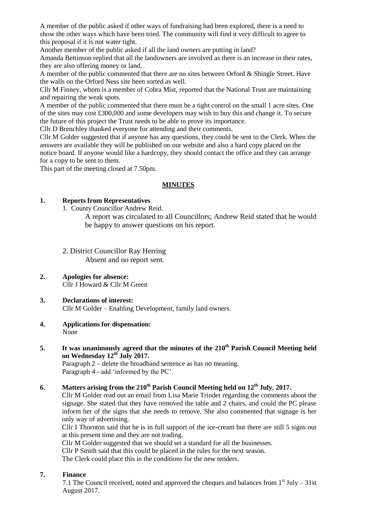A member of the public asked if other ways of fundraising had been explored, there is a need to show the other ways which have been tried. The community will find it very difficult to agree to this proposal if it is not water tight.

Another member of the public asked if all the land owners are putting in land?

Amanda Bettinson replied that all the landowners are involved as there is an increase in their rates, they are also offering money or land.

A member of the public commented that there are no sites between Orford & Shingle Street. Have the walls on the Orford Ness site been sorted as well.

Cllr M Finney, whom is a member of Cobra Mist, reported that the National Trust are maintaining and repairing the weak spots.

A member of the public commented that there must be a tight control on the small 1 acre sites. One of the sites may cost £300,000 and some developers may wish to buy this and change it. To secure the future of this project the Trust needs to be able to prove its importance.

Cllr D Brenchley thanked everyone for attending and their comments.

Cllr M Golder suggested that if anyone has any questions, they could be sent to the Clerk. When the answers are available they will be published on our website and also a hard copy placed on the notice board. If anyone would like a hardcopy, they should contact the office and they can arrange for a copy to be sent to them.

This part of the meeting closed at 7.50pm.

### **MINUTES**

### **1. Reports from Representatives**

1. County Councillor Andrew Reid.

A report was circulated to all Councillors; Andrew Reid stated that he would be happy to answer questions on his report.

- 2. District Councillor Ray Herring Absent and no report sent.
- **2. Apologies for absence:** Cllr J Howard & Cllr M Green

#### **3. Declarations of interest:** Cllr M Golder – Enabling Development, family land owners.

- **4. Applications for dispensation:** None
- **5. It was unanimously agreed that the minutes of the 210th Parish Council Meeting held on Wednesday 12th July 2017.**

Paragraph 2 – delete the broadband sentence as has no meaning. Paragraph 4 - add 'informed by the PC'.

# **6. Matters arising from the 210th Parish Council Meeting held on 12th July. 2017.**

Cllr M Golder read out an email from Lisa Marie Trinder regarding the comments about the signage. She stated that they have removed the table and 2 chairs, and could the PC please inform her of the signs that she needs to remove. She also commented that signage is her only way of advertising.

Cllr I Thornton said that he is in full support of the ice-cream but there are still 5 signs out at this present time and they are not trading.

Cllr M Golder suggested that we should set a standard for all the businesses.

Cllr P Smith said that this could be placed in the rules for the next season.

The Clerk could place this in the conditions for the new tenders.

### **7. Finance**

7.1 The Council received, noted and approved the cheques and balances from  $1<sup>st</sup>$  July – 31st August 2017.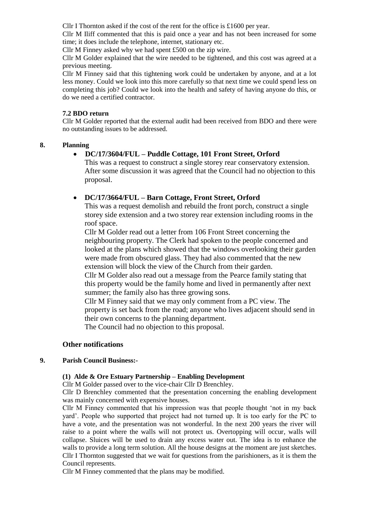Cllr I Thornton asked if the cost of the rent for the office is £1600 per year.

Cllr M Iliff commented that this is paid once a year and has not been increased for some time; it does include the telephone, internet, stationary etc.

Cllr M Finney asked why we had spent £500 on the zip wire.

Cllr M Golder explained that the wire needed to be tightened, and this cost was agreed at a previous meeting.

Cllr M Finney said that this tightening work could be undertaken by anyone, and at a lot less money. Could we look into this more carefully so that next time we could spend less on completing this job? Could we look into the health and safety of having anyone do this, or do we need a certified contractor.

### **7.2 BDO return**

Cllr M Golder reported that the external audit had been received from BDO and there were no outstanding issues to be addressed.

### **8. Planning**

# **DC/17/3604/FUL – Puddle Cottage, 101 Front Street, Orford**

This was a request to construct a single storey rear conservatory extension. After some discussion it was agreed that the Council had no objection to this proposal.

### **DC/17/3664/FUL – Barn Cottage, Front Street, Orford**

This was a request demolish and rebuild the front porch, construct a single storey side extension and a two storey rear extension including rooms in the roof space.

Cllr M Golder read out a letter from 106 Front Street concerning the neighbouring property. The Clerk had spoken to the people concerned and looked at the plans which showed that the windows overlooking their garden were made from obscured glass. They had also commented that the new extension will block the view of the Church from their garden.

Cllr M Golder also read out a message from the Pearce family stating that this property would be the family home and lived in permanently after next summer; the family also has three growing sons.

Cllr M Finney said that we may only comment from a PC view. The property is set back from the road; anyone who lives adjacent should send in their own concerns to the planning department. The Council had no objection to this proposal.

# **Other notifications**

### **9. Parish Council Business:-**

### **(1) Alde & Ore Estuary Partnership – Enabling Development**

Cllr M Golder passed over to the vice-chair Cllr D Brenchley.

Cllr D Brenchley commented that the presentation concerning the enabling development was mainly concerned with expensive houses.

Cllr M Finney commented that his impression was that people thought 'not in my back yard'. People who supported that project had not turned up. It is too early for the PC to have a vote, and the presentation was not wonderful. In the next 200 years the river will raise to a point where the walls will not protect us. Overtopping will occur, walls will collapse. Sluices will be used to drain any excess water out. The idea is to enhance the walls to provide a long term solution. All the house designs at the moment are just sketches. Cllr I Thornton suggested that we wait for questions from the parishioners, as it is them the Council represents.

Cllr M Finney commented that the plans may be modified.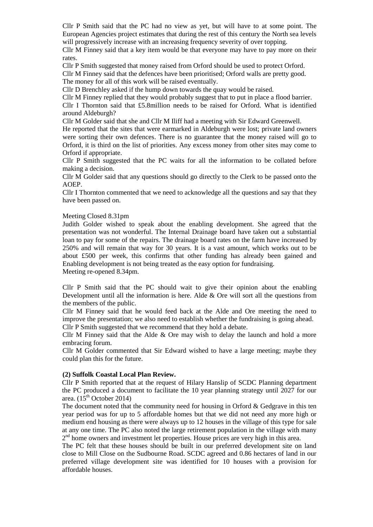Cllr P Smith said that the PC had no view as yet, but will have to at some point. The European Agencies project estimates that during the rest of this century the North sea levels will progressively increase with an increasing frequency severity of over topping.

Cllr M Finney said that a key item would be that everyone may have to pay more on their rates.

Cllr P Smith suggested that money raised from Orford should be used to protect Orford.

Cllr M Finney said that the defences have been prioritised; Orford walls are pretty good. The money for all of this work will be raised eventually.

Cllr D Brenchley asked if the hump down towards the quay would be raised.

Cllr M Finney replied that they would probably suggest that to put in place a flood barrier. Cllr I Thornton said that £5.8million needs to be raised for Orford. What is identified around Aldeburgh?

Cllr M Golder said that she and Cllr M Iliff had a meeting with Sir Edward Greenwell.

He reported that the sites that were earmarked in Aldeburgh were lost; private land owners were sorting their own defences. There is no guarantee that the money raised will go to Orford, it is third on the list of priorities. Any excess money from other sites may come to Orford if appropriate.

Cllr P Smith suggested that the PC waits for all the information to be collated before making a decision.

Cllr M Golder said that any questions should go directly to the Clerk to be passed onto the AOEP.

Cllr I Thornton commented that we need to acknowledge all the questions and say that they have been passed on.

#### Meeting Closed 8.31pm

Judith Golder wished to speak about the enabling development. She agreed that the presentation was not wonderful. The Internal Drainage board have taken out a substantial loan to pay for some of the repairs. The drainage board rates on the farm have increased by 250% and will remain that way for 30 years. It is a vast amount, which works out to be about £500 per week, this confirms that other funding has already been gained and Enabling development is not being treated as the easy option for fundraising. Meeting re-opened 8.34pm.

Cllr P Smith said that the PC should wait to give their opinion about the enabling Development until all the information is here. Alde & Ore will sort all the questions from the members of the public.

Cllr M Finney said that he would feed back at the Alde and Ore meeting the need to improve the presentation; we also need to establish whether the fundraising is going ahead. Cllr P Smith suggested that we recommend that they hold a debate.

Cllr M Finney said that the Alde  $\&$  Ore may wish to delay the launch and hold a more embracing forum.

Cllr M Golder commented that Sir Edward wished to have a large meeting; maybe they could plan this for the future.

### **(2) Suffolk Coastal Local Plan Review.**

Cllr P Smith reported that at the request of Hilary Hanslip of SCDC Planning department the PC produced a document to facilitate the 10 year planning strategy until 2027 for our area.  $(15<sup>th</sup> October 2014)$ 

The document noted that the community need for housing in Orford  $&$  Gedgrave in this ten year period was for up to 5 affordable homes but that we did not need any more high or medium end housing as there were always up to 12 houses in the village of this type for sale at any one time. The PC also noted the large retirement population in the village with many 2<sup>nd</sup> home owners and investment let properties. House prices are very high in this area.

The PC felt that these houses should be built in our preferred development site on land close to Mill Close on the Sudbourne Road. SCDC agreed and 0.86 hectares of land in our preferred village development site was identified for 10 houses with a provision for affordable houses.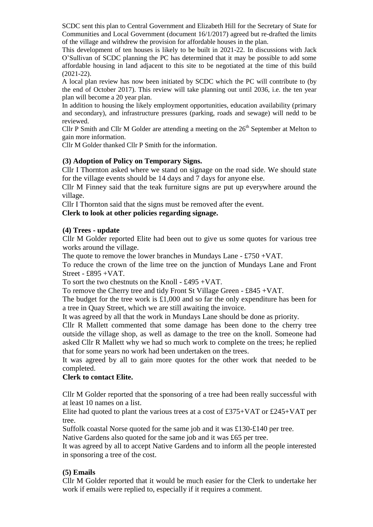SCDC sent this plan to Central Government and Elizabeth Hill for the Secretary of State for Communities and Local Government (document 16/1/2017) agreed but re-drafted the limits of the village and withdrew the provision for affordable houses in the plan.

This development of ten houses is likely to be built in 2021-22. In discussions with Jack O'Sullivan of SCDC planning the PC has determined that it may be possible to add some affordable housing in land adjacent to this site to be negotiated at the time of this build (2021-22).

A local plan review has now been initiated by SCDC which the PC will contribute to (by the end of October 2017). This review will take planning out until 2036, i.e. the ten year plan will become a 20 year plan.

In addition to housing the likely employment opportunities, education availability (primary and secondary), and infrastructure pressures (parking, roads and sewage) will nedd to be reviewed.

Cllr P Smith and Cllr M Golder are attending a meeting on the  $26<sup>th</sup>$  September at Melton to gain more information.

Cllr M Golder thanked Cllr P Smith for the information.

# **(3) Adoption of Policy on Temporary Signs.**

Cllr I Thornton asked where we stand on signage on the road side. We should state for the village events should be 14 days and 7 days for anyone else.

Cllr M Finney said that the teak furniture signs are put up everywhere around the village.

Cllr I Thornton said that the signs must be removed after the event.

### **Clerk to look at other policies regarding signage.**

### **(4) Trees - update**

Cllr M Golder reported Elite had been out to give us some quotes for various tree works around the village.

The quote to remove the lower branches in Mundays Lane - £750 +VAT.

To reduce the crown of the lime tree on the junction of Mundays Lane and Front Street - £895 +VAT.

To sort the two chestnuts on the Knoll - £495 +VAT.

To remove the Cherry tree and tidy Front St Village Green - £845 +VAT.

The budget for the tree work is £1,000 and so far the only expenditure has been for a tree in Quay Street, which we are still awaiting the invoice.

It was agreed by all that the work in Mundays Lane should be done as priority.

Cllr R Mallett commented that some damage has been done to the cherry tree outside the village shop, as well as damage to the tree on the knoll. Someone had asked Cllr R Mallett why we had so much work to complete on the trees; he replied that for some years no work had been undertaken on the trees.

It was agreed by all to gain more quotes for the other work that needed to be completed.

### **Clerk to contact Elite.**

Cllr M Golder reported that the sponsoring of a tree had been really successful with at least 10 names on a list.

Elite had quoted to plant the various trees at a cost of £375+VAT or £245+VAT per tree.

Suffolk coastal Norse quoted for the same job and it was £130-£140 per tree.

Native Gardens also quoted for the same job and it was £65 per tree.

It was agreed by all to accept Native Gardens and to inform all the people interested in sponsoring a tree of the cost.

### **(5) Emails**

Cllr M Golder reported that it would be much easier for the Clerk to undertake her work if emails were replied to, especially if it requires a comment.